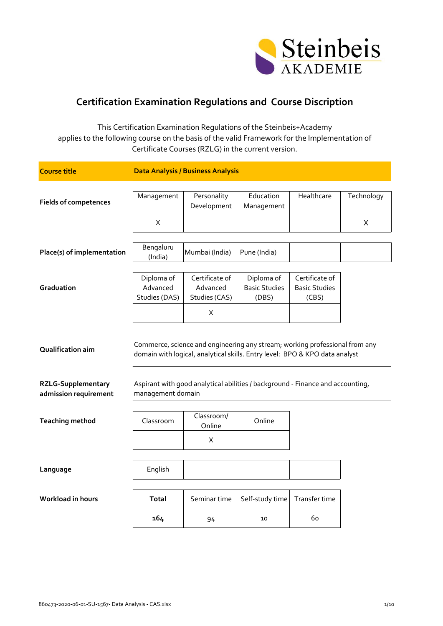

## **Certification Examination Regulations and Course Discription**

This Certification Examination Regulations of the Steinbeis+Academy applies to the following course on the basis of the valid Framework for the Implementation of Certificate Courses (RZLG) in the current version.

| <b>Course title</b>                                |                                         | <b>Data Analysis / Business Analysis</b>                                                                                                                   |                                             |                                                 |            |
|----------------------------------------------------|-----------------------------------------|------------------------------------------------------------------------------------------------------------------------------------------------------------|---------------------------------------------|-------------------------------------------------|------------|
| <b>Fields of competences</b>                       | Management                              | Personality<br>Development                                                                                                                                 | Education<br>Management                     | Healthcare                                      | Technology |
|                                                    | $\pmb{\times}$                          |                                                                                                                                                            |                                             |                                                 | X          |
| Place(s) of implementation                         | Bengaluru<br>(India)                    | Mumbai (India)                                                                                                                                             | Pune (India)                                |                                                 |            |
| Graduation                                         | Diploma of<br>Advanced<br>Studies (DAS) | Certificate of<br>Advanced<br>Studies (CAS)                                                                                                                | Diploma of<br><b>Basic Studies</b><br>(DBS) | Certificate of<br><b>Basic Studies</b><br>(CBS) |            |
|                                                    |                                         | X                                                                                                                                                          |                                             |                                                 |            |
| Qualification aim                                  |                                         | Commerce, science and engineering any stream; working professional from any<br>domain with logical, analytical skills. Entry level: BPO & KPO data analyst |                                             |                                                 |            |
| <b>RZLG-Supplementary</b><br>admission requirement | management domain                       | Aspirant with good analytical abilities / background - Finance and accounting,                                                                             |                                             |                                                 |            |
| <b>Teaching method</b>                             | Classroom                               | Classroom/<br>Online                                                                                                                                       | Online                                      |                                                 |            |
|                                                    |                                         | X                                                                                                                                                          |                                             |                                                 |            |
| Language                                           | English                                 |                                                                                                                                                            |                                             |                                                 |            |
| <b>Workload in hours</b>                           | <b>Total</b>                            | Seminar time                                                                                                                                               | Self-study time                             | Transfer time                                   |            |
|                                                    | 164                                     | 94                                                                                                                                                         | 10                                          | 60                                              |            |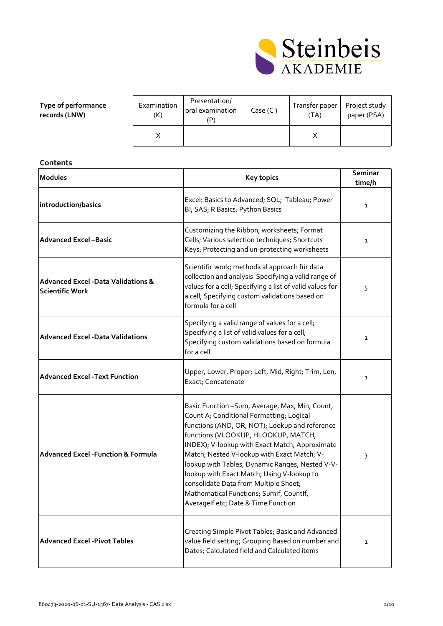

## **Type of performance records (LNW)**

| Examination<br>'K) | Presentation/<br>oral examination<br>P' | Case (C) | Transfer paper<br>(TA) | Project study<br>paper (PSA) |
|--------------------|-----------------------------------------|----------|------------------------|------------------------------|
|                    |                                         |          |                        |                              |

| Contents                                                                |                                                                                                                                                                                                                                                                                                                                                                                                                                                                                                                   |                   |  |
|-------------------------------------------------------------------------|-------------------------------------------------------------------------------------------------------------------------------------------------------------------------------------------------------------------------------------------------------------------------------------------------------------------------------------------------------------------------------------------------------------------------------------------------------------------------------------------------------------------|-------------------|--|
| <b>Modules</b>                                                          | <b>Key topics</b>                                                                                                                                                                                                                                                                                                                                                                                                                                                                                                 | Seminar<br>time/h |  |
| introduction/basics                                                     | Excel: Basics to Advanced; SQL; Tableau; Power<br>BI; SAS; R Basics; Python Basics                                                                                                                                                                                                                                                                                                                                                                                                                                | $\mathbf{1}$      |  |
| <b>Advanced Excel-Basic</b>                                             | Customizing the Ribbon; worksheets; Format<br>Cells; Various selection techniques; Shortcuts<br>Keys; Protecting and un-protecting worksheets                                                                                                                                                                                                                                                                                                                                                                     | $\mathbf{1}$      |  |
| <b>Advanced Excel -Data Validations &amp;</b><br><b>Scientific Work</b> | Scientific work; methodical approach für data<br>collection and analysis Specifying a valid range of<br>values for a cell; Specifying a list of valid values for<br>a cell; Specifying custom validations based on<br>formula for a cell                                                                                                                                                                                                                                                                          | 5                 |  |
| <b>Advanced Excel - Data Validations</b>                                | Specifying a valid range of values for a cell;<br>Specifying a list of valid values for a cell;<br>Specifying custom validations based on formula<br>for a cell                                                                                                                                                                                                                                                                                                                                                   | 1                 |  |
| <b>Advanced Excel -Text Function</b>                                    | Upper, Lower, Proper; Left, Mid, Right; Trim, Len,<br>Exact; Concatenate                                                                                                                                                                                                                                                                                                                                                                                                                                          | $\mathbf{1}$      |  |
| <b>Advanced Excel - Function &amp; Formula</b>                          | Basic Function - Sum, Average, Max, Min, Count,<br>Count A; Conditional Formatting; Logical<br>functions (AND, OR, NOT); Lookup and reference<br>functions (VLOOKUP, HLOOKUP, MATCH,<br>INDEX); V-lookup with Exact Match, Approximate<br>Match; Nested V-lookup with Exact Match; V-<br>lookup with Tables, Dynamic Ranges; Nested V-V-<br>lookup with Exact Match; Using V-lookup to<br>consolidate Data from Multiple Sheet;<br>Mathematical Functions; SumIf, CountIf,<br>Averagelf etc; Date & Time Function | 3                 |  |
| <b>Advanced Excel - Pivot Tables</b>                                    | Creating Simple Pivot Tables; Basic and Advanced<br>value field setting; Grouping Based on number and<br>Dates; Calculated field and Calculated items                                                                                                                                                                                                                                                                                                                                                             | 1                 |  |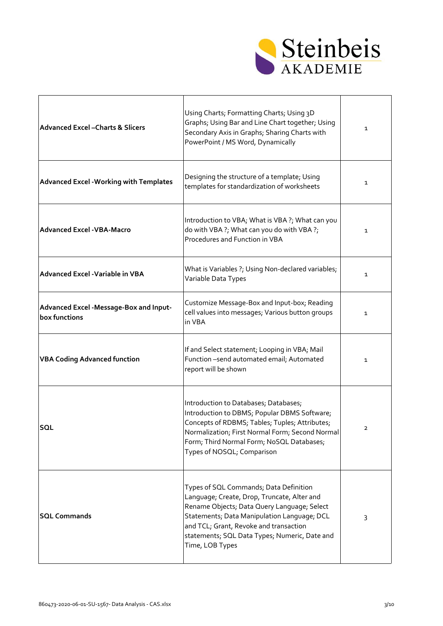

| <b>Advanced Excel-Charts &amp; Slicers</b>               | Using Charts; Formatting Charts; Using 3D<br>Graphs; Using Bar and Line Chart together; Using<br>Secondary Axis in Graphs; Sharing Charts with<br>PowerPoint / MS Word, Dynamically                                                                                                               | 1            |
|----------------------------------------------------------|---------------------------------------------------------------------------------------------------------------------------------------------------------------------------------------------------------------------------------------------------------------------------------------------------|--------------|
| <b>Advanced Excel - Working with Templates</b>           | Designing the structure of a template; Using<br>templates for standardization of worksheets                                                                                                                                                                                                       | 1            |
| <b>Advanced Excel - VBA-Macro</b>                        | Introduction to VBA; What is VBA ?; What can you<br>do with VBA ?; What can you do with VBA ?;<br>Procedures and Function in VBA                                                                                                                                                                  | 1            |
| Advanced Excel - Variable in VBA                         | What is Variables ?; Using Non-declared variables;<br>Variable Data Types                                                                                                                                                                                                                         | 1            |
| Advanced Excel - Message-Box and Input-<br>box functions | Customize Message-Box and Input-box; Reading<br>cell values into messages; Various button groups<br>in VBA                                                                                                                                                                                        | 1            |
| <b>VBA Coding Advanced function</b>                      | If and Select statement; Looping in VBA; Mail<br>Function-send automated email; Automated<br>report will be shown                                                                                                                                                                                 | $\mathbf{1}$ |
| <b>SQL</b>                                               | Introduction to Databases; Databases;<br>Introduction to DBMS; Popular DBMS Software;<br>Concepts of RDBMS; Tables; Tuples; Attributes;<br>Normalization; First Normal Form; Second Normal<br>Form; Third Normal Form; NoSQL Databases;<br>Types of NOSQL; Comparison                             | 2            |
| <b>SQL Commands</b>                                      | Types of SQL Commands; Data Definition<br>Language; Create, Drop, Truncate, Alter and<br>Rename Objects; Data Query Language; Select<br>Statements; Data Manipulation Language; DCL<br>and TCL; Grant, Revoke and transaction<br>statements; SQL Data Types; Numeric, Date and<br>Time, LOB Types | 3            |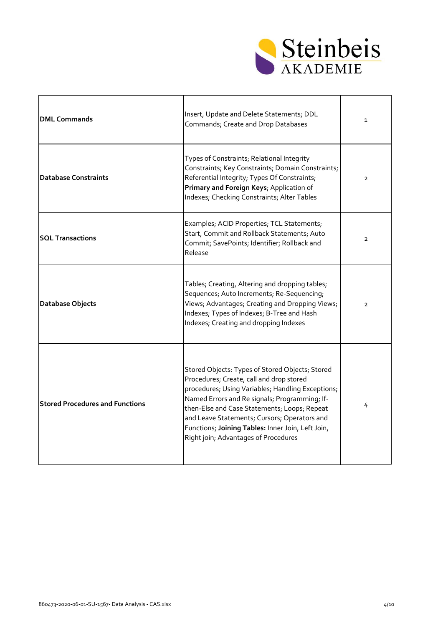

| <b>DML Commands</b>                    | Insert, Update and Delete Statements; DDL<br>Commands; Create and Drop Databases                                                                                                                                                                                                                                                                                                               | $\mathbf{1}$   |
|----------------------------------------|------------------------------------------------------------------------------------------------------------------------------------------------------------------------------------------------------------------------------------------------------------------------------------------------------------------------------------------------------------------------------------------------|----------------|
| <b>Database Constraints</b>            | Types of Constraints; Relational Integrity<br>Constraints; Key Constraints; Domain Constraints;<br>Referential Integrity; Types Of Constraints;<br>Primary and Foreign Keys; Application of<br>Indexes; Checking Constraints; Alter Tables                                                                                                                                                     | $\overline{2}$ |
| <b>SQL Transactions</b>                | Examples; ACID Properties; TCL Statements;<br>Start, Commit and Rollback Statements; Auto<br>Commit; SavePoints; Identifier; Rollback and<br>Release                                                                                                                                                                                                                                           | $\overline{2}$ |
| <b>Database Objects</b>                | Tables; Creating, Altering and dropping tables;<br>Sequences; Auto Increments; Re-Sequencing;<br>Views; Advantages; Creating and Dropping Views;<br>Indexes; Types of Indexes; B-Tree and Hash<br>Indexes; Creating and dropping Indexes                                                                                                                                                       | $\overline{2}$ |
| <b>Stored Procedures and Functions</b> | Stored Objects: Types of Stored Objects; Stored<br>Procedures; Create, call and drop stored<br>procedures; Using Variables; Handling Exceptions;<br>Named Errors and Re signals; Programming; If-<br>then-Else and Case Statements; Loops; Repeat<br>and Leave Statements; Cursors; Operators and<br>Functions; Joining Tables: Inner Join, Left Join,<br>Right join; Advantages of Procedures | 4              |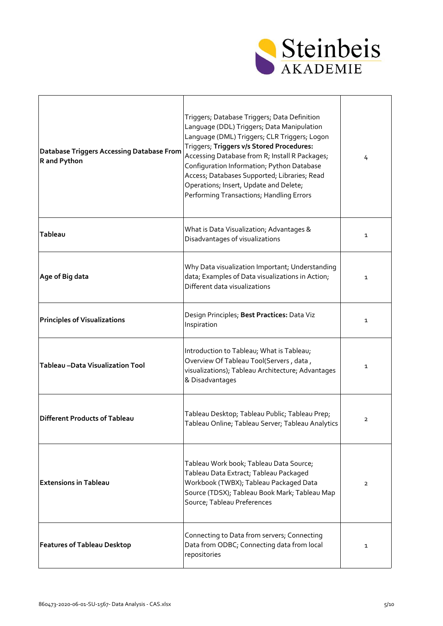

 $\overline{\phantom{a}}$ 

| <b>Database Triggers Accessing Database From</b><br>R and Python | Triggers; Database Triggers; Data Definition<br>Language (DDL) Triggers; Data Manipulation<br>Language (DML) Triggers; CLR Triggers; Logon<br>Triggers; Triggers v/s Stored Procedures:<br>Accessing Database from R; Install R Packages;<br>Configuration Information; Python Database<br>Access; Databases Supported; Libraries; Read<br>Operations; Insert, Update and Delete;<br>Performing Transactions; Handling Errors | 4              |
|------------------------------------------------------------------|-------------------------------------------------------------------------------------------------------------------------------------------------------------------------------------------------------------------------------------------------------------------------------------------------------------------------------------------------------------------------------------------------------------------------------|----------------|
| Tableau                                                          | What is Data Visualization; Advantages &<br>Disadvantages of visualizations                                                                                                                                                                                                                                                                                                                                                   | 1              |
| Age of Big data                                                  | Why Data visualization Important; Understanding<br>data; Examples of Data visualizations in Action;<br>Different data visualizations                                                                                                                                                                                                                                                                                          | 1              |
| <b>Principles of Visualizations</b>                              | Design Principles; Best Practices: Data Viz<br>Inspiration                                                                                                                                                                                                                                                                                                                                                                    | $\mathbf{1}$   |
| Tableau - Data Visualization Tool                                | Introduction to Tableau; What is Tableau;<br>Overview Of Tableau Tool(Servers, data,<br>visualizations); Tableau Architecture; Advantages<br>& Disadvantages                                                                                                                                                                                                                                                                  | 1              |
| Different Products of Tableau                                    | Tableau Desktop; Tableau Public; Tableau Prep;<br>Tableau Online; Tableau Server; Tableau Analytics                                                                                                                                                                                                                                                                                                                           | $\overline{2}$ |
| <b>Extensions in Tableau</b>                                     | Tableau Work book; Tableau Data Source;<br>Tableau Data Extract; Tableau Packaged<br>Workbook (TWBX); Tableau Packaged Data<br>Source (TDSX); Tableau Book Mark; Tableau Map<br>Source; Tableau Preferences                                                                                                                                                                                                                   | $\overline{2}$ |
| <b>Features of Tableau Desktop</b>                               | Connecting to Data from servers; Connecting<br>Data from ODBC; Connecting data from local<br>repositories                                                                                                                                                                                                                                                                                                                     | 1              |

 $\Gamma$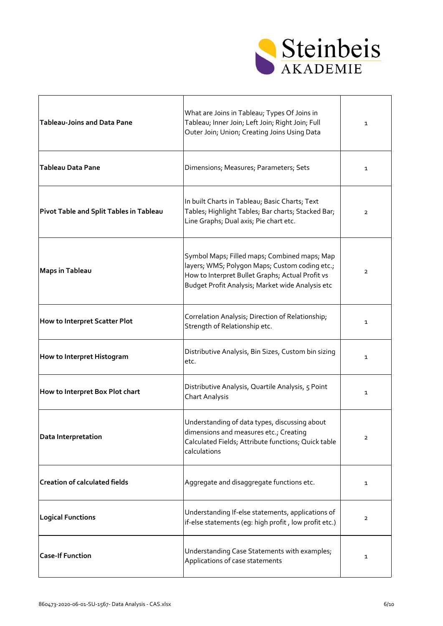

| Tableau-Joins and Data Pane             | What are Joins in Tableau; Types Of Joins in<br>Tableau; Inner Join; Left Join; Right Join; Full<br>Outer Join; Union; Creating Joins Using Data                                                       | 1              |
|-----------------------------------------|--------------------------------------------------------------------------------------------------------------------------------------------------------------------------------------------------------|----------------|
| Tableau Data Pane                       | Dimensions; Measures; Parameters; Sets                                                                                                                                                                 | 1              |
| Pivot Table and Split Tables in Tableau | In built Charts in Tableau; Basic Charts; Text<br>Tables; Highlight Tables; Bar charts; Stacked Bar;<br>Line Graphs; Dual axis; Pie chart etc.                                                         | $\overline{2}$ |
| Maps in Tableau                         | Symbol Maps; Filled maps; Combined maps; Map<br>layers; WMS; Polygon Maps; Custom coding etc.;<br>How to Interpret Bullet Graphs; Actual Profit vs<br>Budget Profit Analysis; Market wide Analysis etc | $\mathbf{2}$   |
| How to Interpret Scatter Plot           | Correlation Analysis; Direction of Relationship;<br>Strength of Relationship etc.                                                                                                                      | 1              |
| How to Interpret Histogram              | Distributive Analysis, Bin Sizes, Custom bin sizing<br>etc.                                                                                                                                            | 1              |
| How to Interpret Box Plot chart         | Distributive Analysis, Quartile Analysis, 5 Point<br><b>Chart Analysis</b>                                                                                                                             | $\mathbf{1}$   |
| Data Interpretation                     | Understanding of data types, discussing about<br>dimensions and measures etc.; Creating<br>Calculated Fields; Attribute functions; Quick table<br>calculations                                         | $\overline{2}$ |
| <b>Creation of calculated fields</b>    | Aggregate and disaggregate functions etc.                                                                                                                                                              | 1              |
| <b>Logical Functions</b>                | Understanding If-else statements, applications of<br>if-else statements (eg: high profit, low profit etc.)                                                                                             | $\overline{2}$ |
| <b>Case-If Function</b>                 | Understanding Case Statements with examples;<br>Applications of case statements                                                                                                                        | 1              |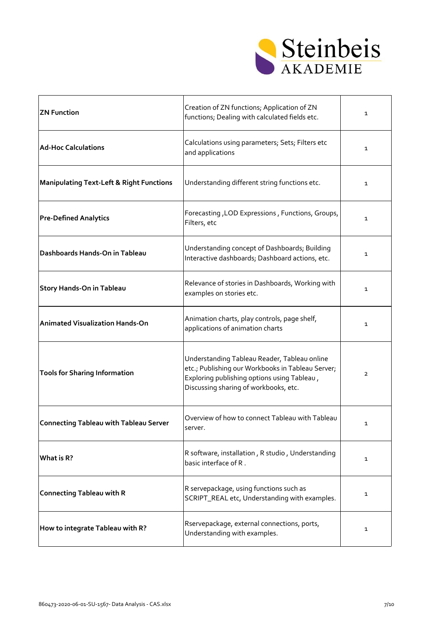

| <b>ZN Function</b>                                  | Creation of ZN functions; Application of ZN<br>functions; Dealing with calculated fields etc.                                                                                             | $\mathbf{1}$ |
|-----------------------------------------------------|-------------------------------------------------------------------------------------------------------------------------------------------------------------------------------------------|--------------|
| <b>Ad-Hoc Calculations</b>                          | Calculations using parameters; Sets; Filters etc<br>and applications                                                                                                                      | 1            |
| <b>Manipulating Text-Left &amp; Right Functions</b> | Understanding different string functions etc.                                                                                                                                             | 1            |
| <b>Pre-Defined Analytics</b>                        | Forecasting, LOD Expressions, Functions, Groups,<br>Filters, etc                                                                                                                          | 1            |
| Dashboards Hands-On in Tableau                      | Understanding concept of Dashboards; Building<br>Interactive dashboards; Dashboard actions, etc.                                                                                          | 1            |
| Story Hands-On in Tableau                           | Relevance of stories in Dashboards, Working with<br>examples on stories etc.                                                                                                              | 1            |
| <b>Animated Visualization Hands-On</b>              | Animation charts, play controls, page shelf,<br>applications of animation charts                                                                                                          | 1            |
| <b>Tools for Sharing Information</b>                | Understanding Tableau Reader, Tableau online<br>etc.; Publishing our Workbooks in Tableau Server;<br>Exploring publishing options using Tableau,<br>Discussing sharing of workbooks, etc. | $\mathbf{2}$ |
| <b>Connecting Tableau with Tableau Server</b>       | Overview of how to connect Tableau with Tableau<br>server.                                                                                                                                | 1            |
| What is R?                                          | R software, installation, R studio, Understanding<br>basic interface of R.                                                                                                                | $\mathbf{1}$ |
| <b>Connecting Tableau with R</b>                    | R servepackage, using functions such as<br>SCRIPT_REAL etc, Understanding with examples.                                                                                                  | 1            |
| How to integrate Tableau with R?                    | Rservepackage, external connections, ports,<br>Understanding with examples.                                                                                                               | 1            |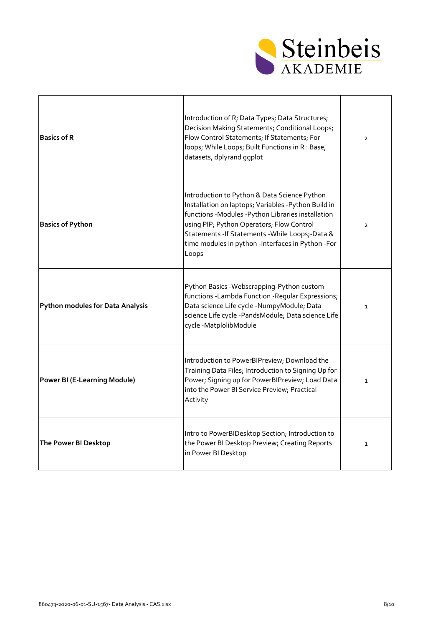

| <b>Basics of R</b>                      | Introduction of R; Data Types; Data Structures;<br>Decision Making Statements; Conditional Loops;<br>Flow Control Statements; If Statements; For<br>loops; While Loops; Built Functions in R : Base,<br>datasets, dplyrand ggplot                                                                                         | $\overline{2}$ |
|-----------------------------------------|---------------------------------------------------------------------------------------------------------------------------------------------------------------------------------------------------------------------------------------------------------------------------------------------------------------------------|----------------|
| <b>Basics of Python</b>                 | Introduction to Python & Data Science Python<br>Installation on laptops; Variables -Python Build in<br>functions -Modules -Python Libraries installation<br>using PIP; Python Operators; Flow Control<br>Statements - If Statements - While Loops; - Data &<br>time modules in python -Interfaces in Python -For<br>Loops | $\overline{2}$ |
| <b>Python modules for Data Analysis</b> | Python Basics - Webscrapping-Python custom<br>functions -Lambda Function -Regular Expressions;<br>Data science Life cycle -NumpyModule; Data<br>science Life cycle -PandsModule; Data science Life<br>cycle-MatplolibModule                                                                                               | $\mathbf{1}$   |
| <b>Power BI (E-Learning Module)</b>     | Introduction to PowerBIPreview; Download the<br>Training Data Files; Introduction to Signing Up for<br>Power; Signing up for PowerBIPreview; Load Data<br>into the Power BI Service Preview; Practical<br>Activity                                                                                                        | $\mathbf{1}$   |
| The Power BI Desktop                    | Intro to PowerBIDesktop Section; Introduction to<br>the Power BI Desktop Preview; Creating Reports<br>in Power BI Desktop                                                                                                                                                                                                 | $\mathbf{1}$   |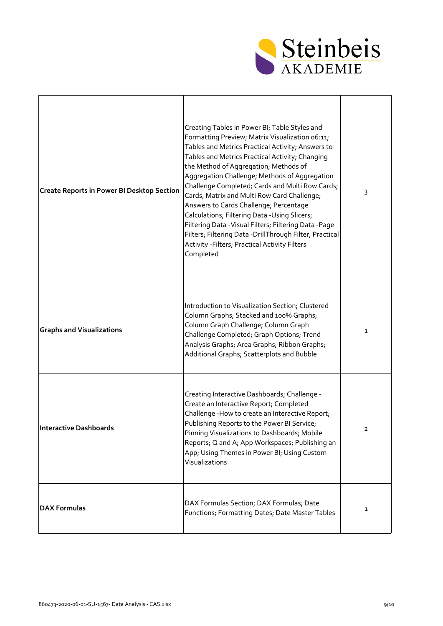

| <b>Create Reports in Power BI Desktop Section</b> | Creating Tables in Power BI; Table Styles and<br>Formatting Preview; Matrix Visualization 06:11;<br>Tables and Metrics Practical Activity; Answers to<br>Tables and Metrics Practical Activity; Changing<br>the Method of Aggregation; Methods of<br>Aggregation Challenge; Methods of Aggregation<br>Challenge Completed; Cards and Multi Row Cards;<br>Cards, Matrix and Multi Row Card Challenge;<br>Answers to Cards Challenge; Percentage<br>Calculations; Filtering Data -Using Slicers;<br>Filtering Data - Visual Filters; Filtering Data - Page<br>Filters; Filtering Data - DrillThrough Filter; Practical<br>Activity - Filters; Practical Activity Filters<br>Completed | 3            |
|---------------------------------------------------|-------------------------------------------------------------------------------------------------------------------------------------------------------------------------------------------------------------------------------------------------------------------------------------------------------------------------------------------------------------------------------------------------------------------------------------------------------------------------------------------------------------------------------------------------------------------------------------------------------------------------------------------------------------------------------------|--------------|
| <b>Graphs and Visualizations</b>                  | Introduction to Visualization Section; Clustered<br>Column Graphs; Stacked and 100% Graphs;<br>Column Graph Challenge; Column Graph<br>Challenge Completed; Graph Options; Trend<br>Analysis Graphs; Area Graphs; Ribbon Graphs;<br>Additional Graphs; Scatterplots and Bubble                                                                                                                                                                                                                                                                                                                                                                                                      | $\mathbf{1}$ |
| <b>Interactive Dashboards</b>                     | Creating Interactive Dashboards; Challenge -<br>Create an Interactive Report; Completed<br>Challenge - How to create an Interactive Report;<br>Publishing Reports to the Power BI Service;<br>Pinning Visualizations to Dashboards; Mobile<br>Reports; Q and A; App Workspaces; Publishing an<br>App; Using Themes in Power BI; Using Custom<br>Visualizations                                                                                                                                                                                                                                                                                                                      | 2            |
| <b>DAX Formulas</b>                               | DAX Formulas Section; DAX Formulas; Date<br>Functions; Formatting Dates; Date Master Tables                                                                                                                                                                                                                                                                                                                                                                                                                                                                                                                                                                                         | 1            |